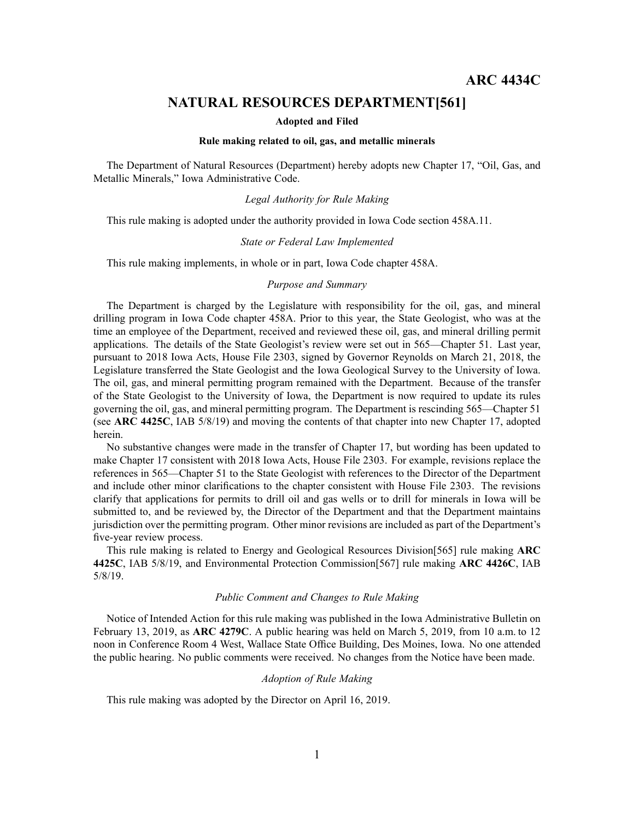# **NATURAL RESOURCES DEPARTMENT[561]**

## **Adopted and Filed**

### **Rule making related to oil, gas, and metallic minerals**

The Department of Natural Resources (Department) hereby adopts new Chapter 17, "Oil, Gas, and Metallic Minerals," Iowa Administrative Code.

## *Legal Authority for Rule Making*

This rule making is adopted under the authority provided in Iowa Code section 458A.11.

#### *State or Federal Law Implemented*

This rule making implements, in whole or in part, Iowa Code chapter 458A.

## *Purpose and Summary*

The Department is charged by the Legislature with responsibility for the oil, gas, and mineral drilling program in Iowa Code chapter 458A. Prior to this year, the State Geologist, who was at the time an employee of the Department, received and reviewed these oil, gas, and mineral drilling permit applications. The details of the State Geologist's review were set out in 565—Chapter 51. Last year, pursuan<sup>t</sup> to 2018 Iowa Acts, House File 2303, signed by Governor Reynolds on March 21, 2018, the Legislature transferred the State Geologist and the Iowa Geological Survey to the University of Iowa. The oil, gas, and mineral permitting program remained with the Department. Because of the transfer of the State Geologist to the University of Iowa, the Department is now required to update its rules governing the oil, gas, and mineral permitting program. The Department is rescinding 565—Chapter 51 (see **ARC 4425C**, IAB 5/8/19) and moving the contents of that chapter into new Chapter 17, adopted herein.

No substantive changes were made in the transfer of Chapter 17, but wording has been updated to make Chapter 17 consistent with 2018 Iowa Acts, House File 2303. For example, revisions replace the references in 565—Chapter 51 to the State Geologist with references to the Director of the Department and include other minor clarifications to the chapter consistent with House File 2303. The revisions clarify that applications for permits to drill oil and gas wells or to drill for minerals in Iowa will be submitted to, and be reviewed by, the Director of the Department and that the Department maintains jurisdiction over the permitting program. Other minor revisions are included as par<sup>t</sup> of the Department's five-year review process.

This rule making is related to Energy and Geological Resources Division[565] rule making **ARC 4425C**, IAB 5/8/19, and Environmental Protection Commission[567] rule making **ARC 4426C**, IAB 5/8/19.

### *Public Comment and Changes to Rule Making*

Notice of Intended Action for this rule making was published in the Iowa Administrative Bulletin on February 13, 2019, as **ARC 4279C**. A public hearing was held on March 5, 2019, from 10 a.m. to 12 noon in Conference Room 4 West, Wallace State Office Building, Des Moines, Iowa. No one attended the public hearing. No public comments were received. No changes from the Notice have been made.

## *Adoption of Rule Making*

This rule making was adopted by the Director on April 16, 2019.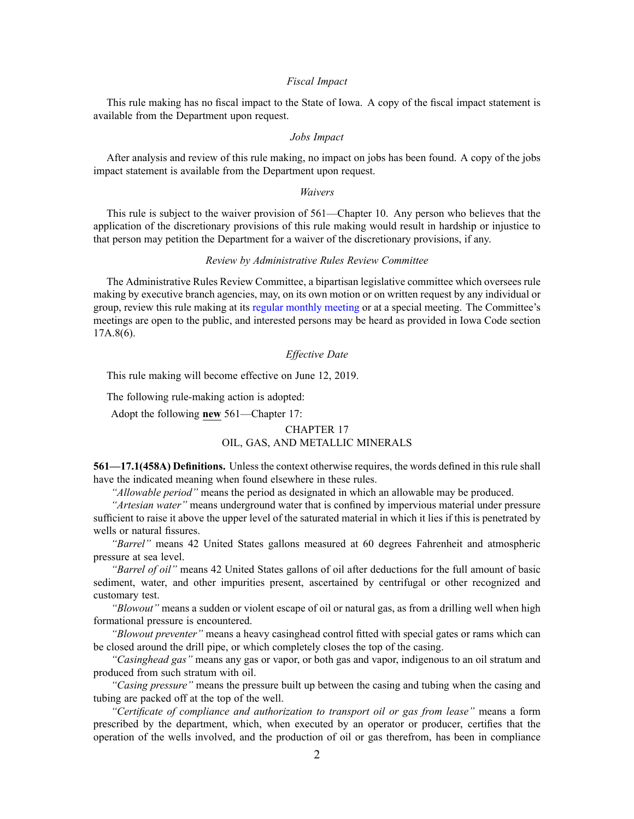### *Fiscal Impact*

This rule making has no fiscal impact to the State of Iowa. A copy of the fiscal impact statement is available from the Department upon request.

## *Jobs Impact*

After analysis and review of this rule making, no impact on jobs has been found. A copy of the jobs impact statement is available from the Department upon request.

#### *Waivers*

This rule is subject to the waiver provision of 561—Chapter 10. Any person who believes that the application of the discretionary provisions of this rule making would result in hardship or injustice to that person may petition the Department for <sup>a</sup> waiver of the discretionary provisions, if any.

## *Review by Administrative Rules Review Committee*

The Administrative Rules Review Committee, <sup>a</sup> bipartisan legislative committee which oversees rule making by executive branch agencies, may, on its own motion or on written reques<sup>t</sup> by any individual or group, review this rule making at its regular [monthly](https://www.legis.iowa.gov/committees/meetings/meetingsListComm?groupID=705&ga=88) meeting or at a special meeting. The Committee's meetings are open to the public, and interested persons may be heard as provided in Iowa Code section 17A.8(6).

## *Effective Date*

This rule making will become effective on June 12, 2019.

The following rule-making action is adopted:

Adopt the following **new** 561—Chapter 17:

# CHAPTER 17 OIL, GAS, AND METALLIC MINERALS

**561—17.1(458A) Definitions.** Unless the context otherwise requires, the words defined in this rule shall have the indicated meaning when found elsewhere in these rules.

*"Allowable period"* means the period as designated in which an allowable may be produced.

*"Artesian water"* means underground water that is confined by impervious material under pressure sufficient to raise it above the upper level of the saturated material in which it lies if this is penetrated by wells or natural fissures.

*"Barrel"* means 42 United States gallons measured at 60 degrees Fahrenheit and atmospheric pressure at sea level.

*"Barrel of oil"* means 42 United States gallons of oil after deductions for the full amount of basic sediment, water, and other impurities present, ascertained by centrifugal or other recognized and customary test.

*"Blowout"* means <sup>a</sup> sudden or violent escape of oil or natural gas, as from <sup>a</sup> drilling well when high formational pressure is encountered.

*"Blowout preventer"* means <sup>a</sup> heavy casinghead control fitted with special gates or rams which can be closed around the drill pipe, or which completely closes the top of the casing.

*"Casinghead gas"* means any gas or vapor, or both gas and vapor, indigenous to an oil stratum and produced from such stratum with oil.

*"Casing pressure"* means the pressure built up between the casing and tubing when the casing and tubing are packed off at the top of the well.

*"Certificate of compliance and authorization to transport oil or gas from lease"* means <sup>a</sup> form prescribed by the department, which, when executed by an operator or producer, certifies that the operation of the wells involved, and the production of oil or gas therefrom, has been in compliance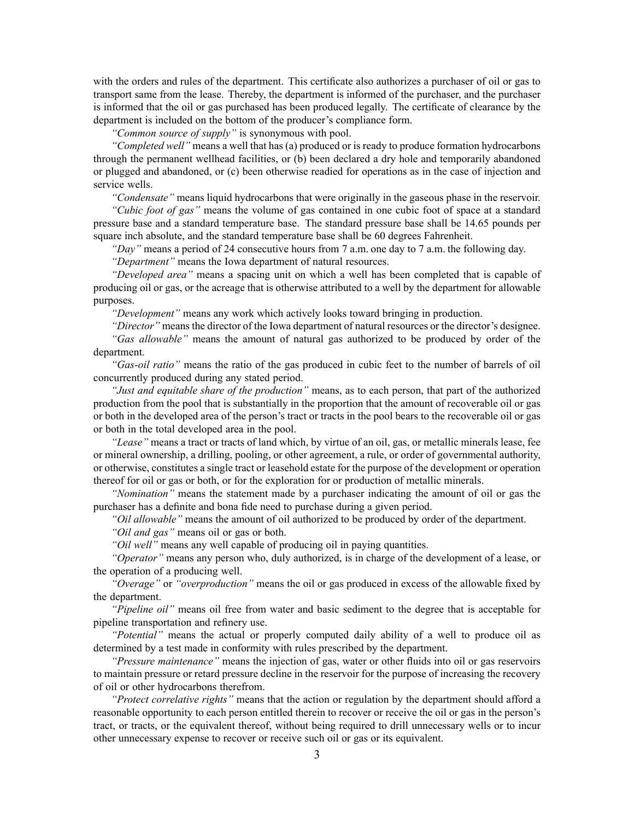with the orders and rules of the department. This certificate also authorizes <sup>a</sup> purchaser of oil or gas to transport same from the lease. Thereby, the department is informed of the purchaser, and the purchaser is informed that the oil or gas purchased has been produced legally. The certificate of clearance by the department is included on the bottom of the producer's compliance form.

*"Common source of supply"* is synonymous with pool.

*"Completed well"* means <sup>a</sup> well that has (a) produced or is ready to produce formation hydrocarbons through the permanen<sup>t</sup> wellhead facilities, or (b) been declared <sup>a</sup> dry hole and temporarily abandoned or plugged and abandoned, or (c) been otherwise readied for operations as in the case of injection and service wells.

*"Condensate"* means liquid hydrocarbons that were originally in the gaseous phase in the reservoir.

*"Cubic foot of gas"* means the volume of gas contained in one cubic foot of space at <sup>a</sup> standard pressure base and <sup>a</sup> standard temperature base. The standard pressure base shall be 14.65 pounds per square inch absolute, and the standard temperature base shall be 60 degrees Fahrenheit.

*"Day"* means <sup>a</sup> period of 24 consecutive hours from 7 a.m. one day to 7 a.m. the following day. *"Department"* means the Iowa department of natural resources.

*"Developed area"* means <sup>a</sup> spacing unit on which <sup>a</sup> well has been completed that is capable of producing oil or gas, or the acreage that is otherwise attributed to <sup>a</sup> well by the department for allowable purposes.

*"Development"* means any work which actively looks toward bringing in production.

*"Director"* means the director of the Iowa department of natural resources or the director's designee.

*"Gas allowable"* means the amount of natural gas authorized to be produced by order of the department.

*"Gas-oil ratio"* means the ratio of the gas produced in cubic feet to the number of barrels of oil concurrently produced during any stated period.

*"Just and equitable share of the production"* means, as to each person, that par<sup>t</sup> of the authorized production from the pool that is substantially in the proportion that the amount of recoverable oil or gas or both in the developed area of the person's tract or tracts in the pool bears to the recoverable oil or gas or both in the total developed area in the pool.

*"Lease"* means <sup>a</sup> tract or tracts of land which, by virtue of an oil, gas, or metallic minerals lease, fee or mineral ownership, <sup>a</sup> drilling, pooling, or other agreement, <sup>a</sup> rule, or order of governmental authority, or otherwise, constitutes <sup>a</sup> single tract or leasehold estate for the purpose of the development or operation thereof for oil or gas or both, or for the exploration for or production of metallic minerals.

*"Nomination"* means the statement made by <sup>a</sup> purchaser indicating the amount of oil or gas the purchaser has <sup>a</sup> definite and bona fide need to purchase during <sup>a</sup> given period.

*"Oil allowable"* means the amount of oil authorized to be produced by order of the department.

*"Oil and gas"* means oil or gas or both.

*"Oil well"* means any well capable of producing oil in paying quantities.

*"Operator"* means any person who, duly authorized, is in charge of the development of <sup>a</sup> lease, or the operation of <sup>a</sup> producing well.

*"Overage"* or *"overproduction"* means the oil or gas produced in excess of the allowable fixed by the department.

*"Pipeline oil"* means oil free from water and basic sediment to the degree that is acceptable for pipeline transportation and refinery use.

*"Potential"* means the actual or properly computed daily ability of <sup>a</sup> well to produce oil as determined by <sup>a</sup> test made in conformity with rules prescribed by the department.

*"Pressure maintenance"* means the injection of gas, water or other fluids into oil or gas reservoirs to maintain pressure or retard pressure decline in the reservoir for the purpose of increasing the recovery of oil or other hydrocarbons therefrom.

*"Protect correlative rights"* means that the action or regulation by the department should afford <sup>a</sup> reasonable opportunity to each person entitled therein to recover or receive the oil or gas in the person's tract, or tracts, or the equivalent thereof, without being required to drill unnecessary wells or to incur other unnecessary expense to recover or receive such oil or gas or its equivalent.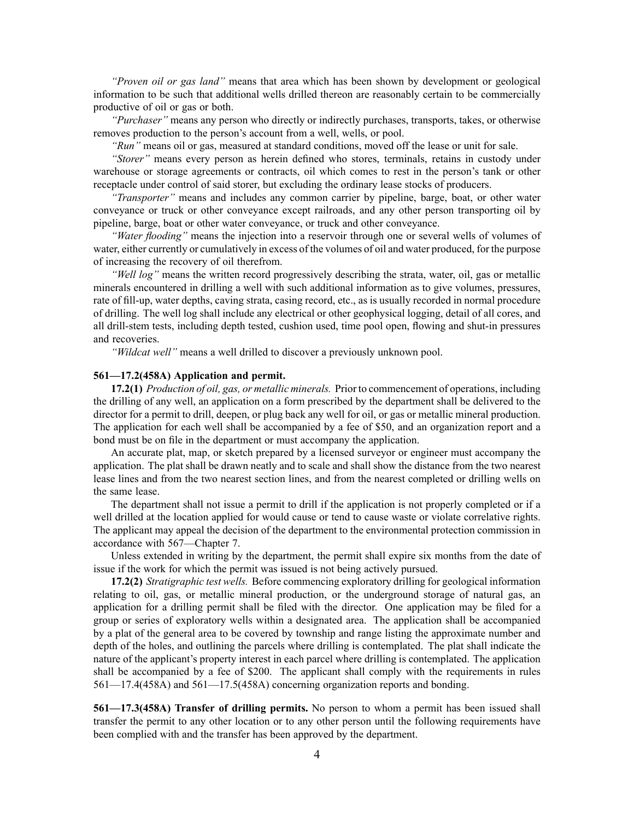*"Proven oil or gas land"* means that area which has been shown by development or geological information to be such that additional wells drilled thereon are reasonably certain to be commercially productive of oil or gas or both.

*"Purchaser"* means any person who directly or indirectly purchases, transports, takes, or otherwise removes production to the person's account from <sup>a</sup> well, wells, or pool.

*"Run"* means oil or gas, measured at standard conditions, moved off the lease or unit for sale.

*"Storer"* means every person as herein defined who stores, terminals, retains in custody under warehouse or storage agreements or contracts, oil which comes to rest in the person's tank or other receptacle under control of said storer, but excluding the ordinary lease stocks of producers.

*"Transporter"* means and includes any common carrier by pipeline, barge, boat, or other water conveyance or truck or other conveyance excep<sup>t</sup> railroads, and any other person transporting oil by pipeline, barge, boat or other water conveyance, or truck and other conveyance.

*"Water flooding"* means the injection into <sup>a</sup> reservoir through one or several wells of volumes of water, either currently or cumulatively in excess of the volumes of oil and water produced, for the purpose of increasing the recovery of oil therefrom.

*"Well log"* means the written record progressively describing the strata, water, oil, gas or metallic minerals encountered in drilling <sup>a</sup> well with such additional information as to give volumes, pressures, rate of fill-up, water depths, caving strata, casing record, etc., as is usually recorded in normal procedure of drilling. The well log shall include any electrical or other geophysical logging, detail of all cores, and all drill-stem tests, including depth tested, cushion used, time pool open, flowing and shut-in pressures and recoveries.

*"Wildcat well"* means <sup>a</sup> well drilled to discover <sup>a</sup> previously unknown pool.

## **561—17.2(458A) Application and permit.**

**17.2(1)** *Production of oil, gas, or metallic minerals.* Prior to commencement of operations, including the drilling of any well, an application on <sup>a</sup> form prescribed by the department shall be delivered to the director for <sup>a</sup> permit to drill, deepen, or plug back any well for oil, or gas or metallic mineral production. The application for each well shall be accompanied by <sup>a</sup> fee of \$50, and an organization repor<sup>t</sup> and <sup>a</sup> bond must be on file in the department or must accompany the application.

An accurate plat, map, or sketch prepared by <sup>a</sup> licensed surveyor or engineer must accompany the application. The plat shall be drawn neatly and to scale and shall show the distance from the two nearest lease lines and from the two nearest section lines, and from the nearest completed or drilling wells on the same lease.

The department shall not issue <sup>a</sup> permit to drill if the application is not properly completed or if <sup>a</sup> well drilled at the location applied for would cause or tend to cause waste or violate correlative rights. The applicant may appeal the decision of the department to the environmental protection commission in accordance with [567—Chapter](https://www.legis.iowa.gov/docs/iac/chapter/567.7.pdf) 7.

Unless extended in writing by the department, the permit shall expire six months from the date of issue if the work for which the permit was issued is not being actively pursued.

**17.2(2)** *Stratigraphic test wells.* Before commencing exploratory drilling for geological information relating to oil, gas, or metallic mineral production, or the underground storage of natural gas, an application for <sup>a</sup> drilling permit shall be filed with the director. One application may be filed for <sup>a</sup> group or series of exploratory wells within <sup>a</sup> designated area. The application shall be accompanied by <sup>a</sup> plat of the general area to be covered by township and range listing the approximate number and depth of the holes, and outlining the parcels where drilling is contemplated. The plat shall indicate the nature of the applicant's property interest in each parcel where drilling is contemplated. The application shall be accompanied by <sup>a</sup> fee of \$200. The applicant shall comply with the requirements in rules [561—17.4](https://www.legis.iowa.gov/docs/iac/rule/561.17.4.pdf)(458A) and [561—17.5](https://www.legis.iowa.gov/docs/iac/rule/561.17.5.pdf)(458A) concerning organization reports and bonding.

**561—17.3(458A) Transfer of drilling permits.** No person to whom <sup>a</sup> permit has been issued shall transfer the permit to any other location or to any other person until the following requirements have been complied with and the transfer has been approved by the department.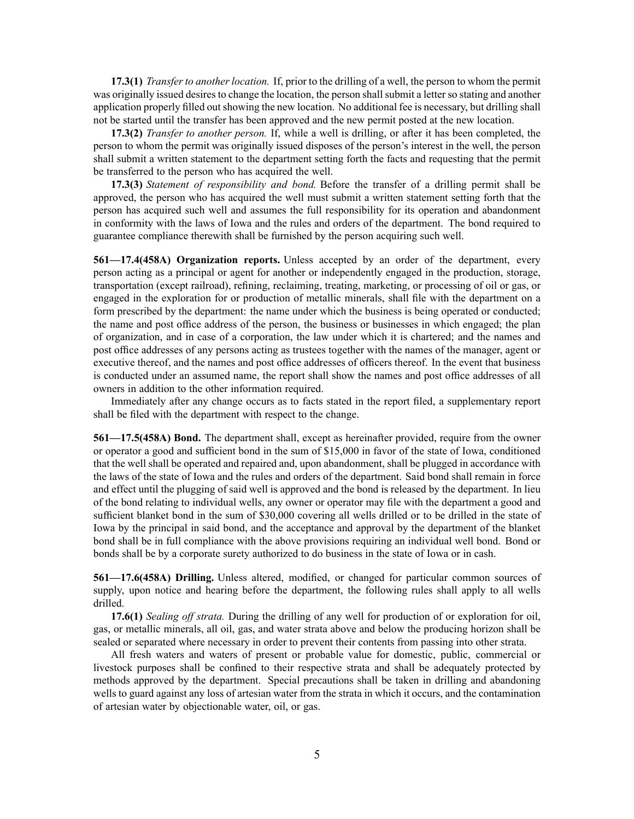**17.3(1)** *Transfer to another location.* If, prior to the drilling of <sup>a</sup> well, the person to whom the permit was originally issued desires to change the location, the person shall submit a letter so stating and another application properly filled out showing the new location. No additional fee is necessary, but drilling shall not be started until the transfer has been approved and the new permit posted at the new location.

**17.3(2)** *Transfer to another person.* If, while <sup>a</sup> well is drilling, or after it has been completed, the person to whom the permit was originally issued disposes of the person's interest in the well, the person shall submit <sup>a</sup> written statement to the department setting forth the facts and requesting that the permit be transferred to the person who has acquired the well.

**17.3(3)** *Statement of responsibility and bond.* Before the transfer of <sup>a</sup> drilling permit shall be approved, the person who has acquired the well must submit <sup>a</sup> written statement setting forth that the person has acquired such well and assumes the full responsibility for its operation and abandonment in conformity with the laws of Iowa and the rules and orders of the department. The bond required to guarantee compliance therewith shall be furnished by the person acquiring such well.

**561—17.4(458A) Organization reports.** Unless accepted by an order of the department, every person acting as <sup>a</sup> principal or agen<sup>t</sup> for another or independently engaged in the production, storage, transportation (except railroad), refining, reclaiming, treating, marketing, or processing of oil or gas, or engaged in the exploration for or production of metallic minerals, shall file with the department on <sup>a</sup> form prescribed by the department: the name under which the business is being operated or conducted; the name and pos<sup>t</sup> office address of the person, the business or businesses in which engaged; the plan of organization, and in case of <sup>a</sup> corporation, the law under which it is chartered; and the names and pos<sup>t</sup> office addresses of any persons acting as trustees together with the names of the manager, agen<sup>t</sup> or executive thereof, and the names and pos<sup>t</sup> office addresses of officers thereof. In the event that business is conducted under an assumed name, the repor<sup>t</sup> shall show the names and pos<sup>t</sup> office addresses of all owners in addition to the other information required.

Immediately after any change occurs as to facts stated in the repor<sup>t</sup> filed, <sup>a</sup> supplementary repor<sup>t</sup> shall be filed with the department with respec<sup>t</sup> to the change.

**561—17.5(458A) Bond.** The department shall, excep<sup>t</sup> as hereinafter provided, require from the owner or operator <sup>a</sup> good and sufficient bond in the sum of \$15,000 in favor of the state of Iowa, conditioned that the well shall be operated and repaired and, upon abandonment, shall be plugged in accordance with the laws of the state of Iowa and the rules and orders of the department. Said bond shall remain in force and effect until the plugging of said well is approved and the bond is released by the department. In lieu of the bond relating to individual wells, any owner or operator may file with the department <sup>a</sup> good and sufficient blanket bond in the sum of \$30,000 covering all wells drilled or to be drilled in the state of Iowa by the principal in said bond, and the acceptance and approval by the department of the blanket bond shall be in full compliance with the above provisions requiring an individual well bond. Bond or bonds shall be by <sup>a</sup> corporate surety authorized to do business in the state of Iowa or in cash.

**561—17.6(458A) Drilling.** Unless altered, modified, or changed for particular common sources of supply, upon notice and hearing before the department, the following rules shall apply to all wells drilled.

**17.6(1)** *Sealing off strata.* During the drilling of any well for production of or exploration for oil, gas, or metallic minerals, all oil, gas, and water strata above and below the producing horizon shall be sealed or separated where necessary in order to preven<sup>t</sup> their contents from passing into other strata.

All fresh waters and waters of presen<sup>t</sup> or probable value for domestic, public, commercial or livestock purposes shall be confined to their respective strata and shall be adequately protected by methods approved by the department. Special precautions shall be taken in drilling and abandoning wells to guard against any loss of artesian water from the strata in which it occurs, and the contamination of artesian water by objectionable water, oil, or gas.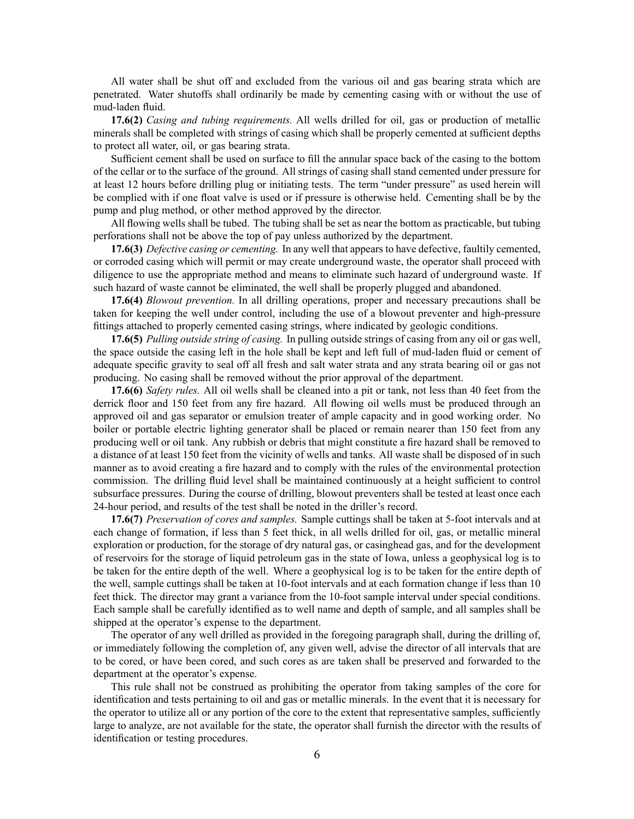All water shall be shut off and excluded from the various oil and gas bearing strata which are penetrated. Water shutoffs shall ordinarily be made by cementing casing with or without the use of mud-laden fluid.

**17.6(2)** *Casing and tubing requirements.* All wells drilled for oil, gas or production of metallic minerals shall be completed with strings of casing which shall be properly cemented at sufficient depths to protect all water, oil, or gas bearing strata.

Sufficient cement shall be used on surface to fill the annular space back of the casing to the bottom of the cellar or to the surface of the ground. All strings of casing shall stand cemented under pressure for at least 12 hours before drilling plug or initiating tests. The term "under pressure" as used herein will be complied with if one float valve is used or if pressure is otherwise held. Cementing shall be by the pump and plug method, or other method approved by the director.

All flowing wells shall be tubed. The tubing shall be set as near the bottom as practicable, but tubing perforations shall not be above the top of pay unless authorized by the department.

**17.6(3)** *Defective casing or cementing.* In any well that appears to have defective, faultily cemented, or corroded casing which will permit or may create underground waste, the operator shall proceed with diligence to use the appropriate method and means to eliminate such hazard of underground waste. If such hazard of waste cannot be eliminated, the well shall be properly plugged and abandoned.

**17.6(4)** *Blowout prevention.* In all drilling operations, proper and necessary precautions shall be taken for keeping the well under control, including the use of <sup>a</sup> blowout preventer and high-pressure fittings attached to properly cemented casing strings, where indicated by geologic conditions.

**17.6(5)** *Pulling outside string of casing.* In pulling outside strings of casing from any oil or gas well, the space outside the casing left in the hole shall be kept and left full of mud-laden fluid or cement of adequate specific gravity to seal off all fresh and salt water strata and any strata bearing oil or gas not producing. No casing shall be removed without the prior approval of the department.

**17.6(6)** *Safety rules.* All oil wells shall be cleaned into <sup>a</sup> pit or tank, not less than 40 feet from the derrick floor and 150 feet from any fire hazard. All flowing oil wells must be produced through an approved oil and gas separator or emulsion treater of ample capacity and in good working order. No boiler or portable electric lighting generator shall be placed or remain nearer than 150 feet from any producing well or oil tank. Any rubbish or debris that might constitute <sup>a</sup> fire hazard shall be removed to <sup>a</sup> distance of at least 150 feet from the vicinity of wells and tanks. All waste shall be disposed of in such manner as to avoid creating <sup>a</sup> fire hazard and to comply with the rules of the environmental protection commission. The drilling fluid level shall be maintained continuously at <sup>a</sup> height sufficient to control subsurface pressures. During the course of drilling, blowout preventers shall be tested at least once each 24-hour period, and results of the test shall be noted in the driller's record.

**17.6(7)** *Preservation of cores and samples.* Sample cuttings shall be taken at 5-foot intervals and at each change of formation, if less than 5 feet thick, in all wells drilled for oil, gas, or metallic mineral exploration or production, for the storage of dry natural gas, or casinghead gas, and for the development of reservoirs for the storage of liquid petroleum gas in the state of Iowa, unless <sup>a</sup> geophysical log is to be taken for the entire depth of the well. Where <sup>a</sup> geophysical log is to be taken for the entire depth of the well, sample cuttings shall be taken at 10-foot intervals and at each formation change if less than 10 feet thick. The director may gran<sup>t</sup> <sup>a</sup> variance from the 10-foot sample interval under special conditions. Each sample shall be carefully identified as to well name and depth of sample, and all samples shall be shipped at the operator's expense to the department.

The operator of any well drilled as provided in the foregoing paragraph shall, during the drilling of, or immediately following the completion of, any given well, advise the director of all intervals that are to be cored, or have been cored, and such cores as are taken shall be preserved and forwarded to the department at the operator's expense.

This rule shall not be construed as prohibiting the operator from taking samples of the core for identification and tests pertaining to oil and gas or metallic minerals. In the event that it is necessary for the operator to utilize all or any portion of the core to the extent that representative samples, sufficiently large to analyze, are not available for the state, the operator shall furnish the director with the results of identification or testing procedures.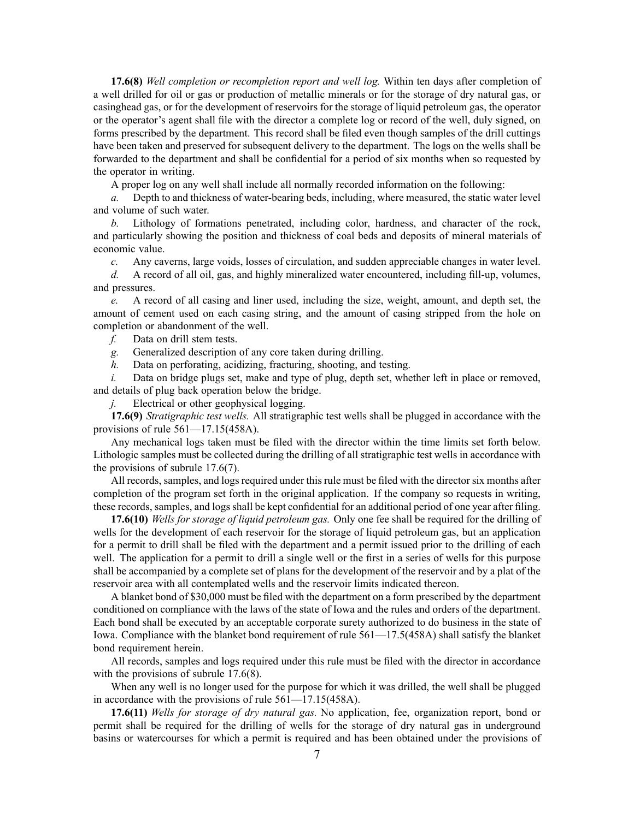**17.6(8)** *Well completion or recompletion repor<sup>t</sup> and well log.* Within ten days after completion of <sup>a</sup> well drilled for oil or gas or production of metallic minerals or for the storage of dry natural gas, or casinghead gas, or for the development of reservoirs for the storage of liquid petroleum gas, the operator or the operator's agen<sup>t</sup> shall file with the director <sup>a</sup> complete log or record of the well, duly signed, on forms prescribed by the department. This record shall be filed even though samples of the drill cuttings have been taken and preserved for subsequent delivery to the department. The logs on the wells shall be forwarded to the department and shall be confidential for <sup>a</sup> period of six months when so requested by the operator in writing.

A proper log on any well shall include all normally recorded information on the following:

*a.* Depth to and thickness of water-bearing beds, including, where measured, the static water level and volume of such water.

*b.* Lithology of formations penetrated, including color, hardness, and character of the rock, and particularly showing the position and thickness of coal beds and deposits of mineral materials of economic value.

*c.* Any caverns, large voids, losses of circulation, and sudden appreciable changes in water level.

*d.* A record of all oil, gas, and highly mineralized water encountered, including fill-up, volumes, and pressures.

*e.* A record of all casing and liner used, including the size, weight, amount, and depth set, the amount of cement used on each casing string, and the amount of casing stripped from the hole on completion or abandonment of the well.

*f.* Data on drill stem tests.

*g.* Generalized description of any core taken during drilling.

*h.* Data on perforating, acidizing, fracturing, shooting, and testing.

*i.* Data on bridge plugs set, make and type of plug, depth set, whether left in place or removed, and details of plug back operation below the bridge.

*j.* Electrical or other geophysical logging.

**17.6(9)** *Stratigraphic test wells.* All stratigraphic test wells shall be plugged in accordance with the provisions of rule [561—17.15](https://www.legis.iowa.gov/docs/iac/rule/561.17.15.pdf)(458A).

Any mechanical logs taken must be filed with the director within the time limits set forth below. Lithologic samples must be collected during the drilling of all stratigraphic test wells in accordance with the provisions of subrule [17.6\(7\)](https://www.legis.iowa.gov/docs/iac/rule/561.17.6.pdf).

All records, samples, and logs required under this rule must be filed with the director six months after completion of the program set forth in the original application. If the company so requests in writing, these records, samples, and logs shall be kept confidential for an additional period of one year after filing.

**17.6(10)** *Wells for storage of liquid petroleum gas.* Only one fee shall be required for the drilling of wells for the development of each reservoir for the storage of liquid petroleum gas, but an application for <sup>a</sup> permit to drill shall be filed with the department and <sup>a</sup> permit issued prior to the drilling of each well. The application for <sup>a</sup> permit to drill <sup>a</sup> single well or the first in <sup>a</sup> series of wells for this purpose shall be accompanied by <sup>a</sup> complete set of plans for the development of the reservoir and by <sup>a</sup> plat of the reservoir area with all contemplated wells and the reservoir limits indicated thereon.

A blanket bond of \$30,000 must be filed with the department on <sup>a</sup> form prescribed by the department conditioned on compliance with the laws of the state of Iowa and the rules and orders of the department. Each bond shall be executed by an acceptable corporate surety authorized to do business in the state of Iowa. Compliance with the blanket bond requirement of rule [561—17.5](https://www.legis.iowa.gov/docs/iac/rule/561.17.5.pdf)(458A) shall satisfy the blanket bond requirement herein.

All records, samples and logs required under this rule must be filed with the director in accordance with the provisions of subrule [17.6\(8\)](https://www.legis.iowa.gov/docs/iac/rule/561.17.6.pdf).

When any well is no longer used for the purpose for which it was drilled, the well shall be plugged in accordance with the provisions of rule [561—17.15](https://www.legis.iowa.gov/docs/iac/rule/561.17.15.pdf)(458A).

**17.6(11)** *Wells for storage of dry natural gas.* No application, fee, organization report, bond or permit shall be required for the drilling of wells for the storage of dry natural gas in underground basins or watercourses for which <sup>a</sup> permit is required and has been obtained under the provisions of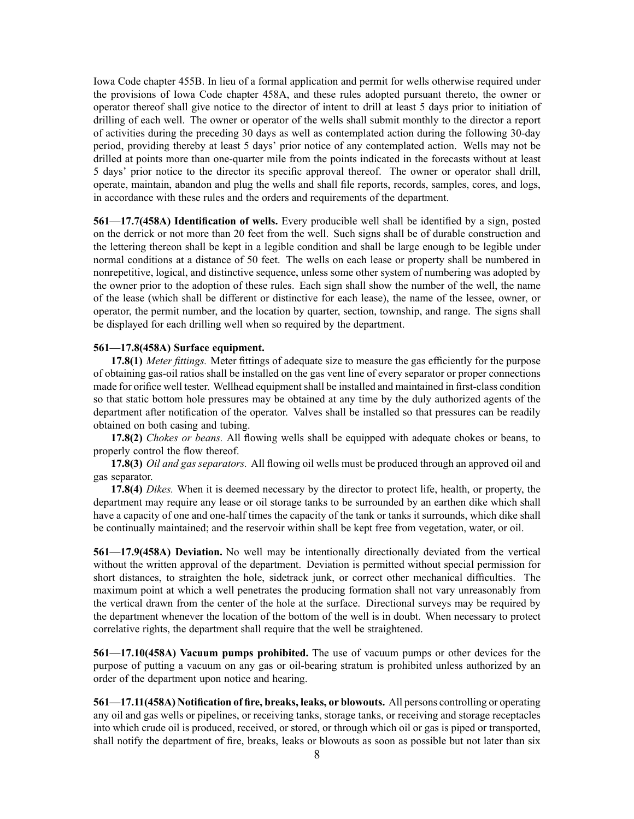Iowa Code chapter [455B](https://www.legis.iowa.gov/docs/ico/chapter/455B.pdf). In lieu of <sup>a</sup> formal application and permit for wells otherwise required under the provisions of Iowa Code chapter [458A](https://www.legis.iowa.gov/docs/ico/chapter/458A.pdf), and these rules adopted pursuan<sup>t</sup> thereto, the owner or operator thereof shall give notice to the director of intent to drill at least 5 days prior to initiation of drilling of each well. The owner or operator of the wells shall submit monthly to the director <sup>a</sup> repor<sup>t</sup> of activities during the preceding 30 days as well as contemplated action during the following 30-day period, providing thereby at least 5 days' prior notice of any contemplated action. Wells may not be drilled at points more than one-quarter mile from the points indicated in the forecasts without at least 5 days' prior notice to the director its specific approval thereof. The owner or operator shall drill, operate, maintain, abandon and plug the wells and shall file reports, records, samples, cores, and logs, in accordance with these rules and the orders and requirements of the department.

**561—17.7(458A) Identification of wells.** Every producible well shall be identified by <sup>a</sup> sign, posted on the derrick or not more than 20 feet from the well. Such signs shall be of durable construction and the lettering thereon shall be kept in <sup>a</sup> legible condition and shall be large enough to be legible under normal conditions at <sup>a</sup> distance of 50 feet. The wells on each lease or property shall be numbered in nonrepetitive, logical, and distinctive sequence, unless some other system of numbering was adopted by the owner prior to the adoption of these rules. Each sign shall show the number of the well, the name of the lease (which shall be different or distinctive for each lease), the name of the lessee, owner, or operator, the permit number, and the location by quarter, section, township, and range. The signs shall be displayed for each drilling well when so required by the department.

## **561—17.8(458A) Surface equipment.**

**17.8(1)** *Meter fittings.* Meter fittings of adequate size to measure the gas efficiently for the purpose of obtaining gas-oil ratios shall be installed on the gas vent line of every separator or proper connections made for orifice well tester. Wellhead equipment shall be installed and maintained in first-class condition so that static bottom hole pressures may be obtained at any time by the duly authorized agents of the department after notification of the operator. Valves shall be installed so that pressures can be readily obtained on both casing and tubing.

**17.8(2)** *Chokes or beans.* All flowing wells shall be equipped with adequate chokes or beans, to properly control the flow thereof.

**17.8(3)** *Oil and gas separators.* All flowing oil wells must be produced through an approved oil and gas separator.

**17.8(4)** *Dikes.* When it is deemed necessary by the director to protect life, health, or property, the department may require any lease or oil storage tanks to be surrounded by an earthen dike which shall have <sup>a</sup> capacity of one and one-half times the capacity of the tank or tanks it surrounds, which dike shall be continually maintained; and the reservoir within shall be kept free from vegetation, water, or oil.

**561—17.9(458A) Deviation.** No well may be intentionally directionally deviated from the vertical without the written approval of the department. Deviation is permitted without special permission for short distances, to straighten the hole, sidetrack junk, or correct other mechanical difficulties. The maximum point at which <sup>a</sup> well penetrates the producing formation shall not vary unreasonably from the vertical drawn from the center of the hole at the surface. Directional surveys may be required by the department whenever the location of the bottom of the well is in doubt. When necessary to protect correlative rights, the department shall require that the well be straightened.

**561—17.10(458A) Vacuum pumps prohibited.** The use of vacuum pumps or other devices for the purpose of putting <sup>a</sup> vacuum on any gas or oil-bearing stratum is prohibited unless authorized by an order of the department upon notice and hearing.

**561—17.11(458A) Notification of fire, breaks, leaks, or blowouts.** All persons controlling or operating any oil and gas wells or pipelines, or receiving tanks, storage tanks, or receiving and storage receptacles into which crude oil is produced, received, or stored, or through which oil or gas is piped or transported, shall notify the department of fire, breaks, leaks or blowouts as soon as possible but not later than six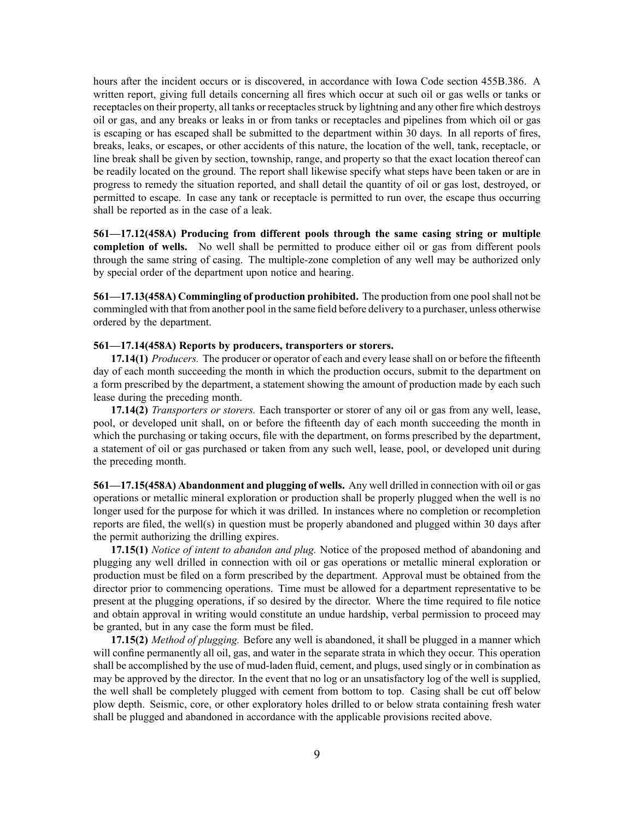hours after the incident occurs or is discovered, in accordance with Iowa Code section [455B.386](https://www.legis.iowa.gov/docs/ico/section/455B.386.pdf). A written report, giving full details concerning all fires which occur at such oil or gas wells or tanks or receptacles on their property, all tanks or receptacles struck by lightning and any other fire which destroys oil or gas, and any breaks or leaks in or from tanks or receptacles and pipelines from which oil or gas is escaping or has escaped shall be submitted to the department within 30 days. In all reports of fires, breaks, leaks, or escapes, or other accidents of this nature, the location of the well, tank, receptacle, or line break shall be given by section, township, range, and property so that the exact location thereof can be readily located on the ground. The repor<sup>t</sup> shall likewise specify what steps have been taken or are in progress to remedy the situation reported, and shall detail the quantity of oil or gas lost, destroyed, or permitted to escape. In case any tank or receptacle is permitted to run over, the escape thus occurring shall be reported as in the case of <sup>a</sup> leak.

**561—17.12(458A) Producing from different pools through the same casing string or multiple completion of wells.** No well shall be permitted to produce either oil or gas from different pools through the same string of casing. The multiple-zone completion of any well may be authorized only by special order of the department upon notice and hearing.

**561—17.13(458A) Commingling of production prohibited.** The production from one poolshall not be commingled with that from another pool in the same field before delivery to <sup>a</sup> purchaser, unless otherwise ordered by the department.

### **561—17.14(458A) Reports by producers, transporters or storers.**

**17.14(1)** *Producers.* The producer or operator of each and every lease shall on or before the fifteenth day of each month succeeding the month in which the production occurs, submit to the department on <sup>a</sup> form prescribed by the department, <sup>a</sup> statement showing the amount of production made by each such lease during the preceding month.

**17.14(2)** *Transporters or storers.* Each transporter or storer of any oil or gas from any well, lease, pool, or developed unit shall, on or before the fifteenth day of each month succeeding the month in which the purchasing or taking occurs, file with the department, on forms prescribed by the department, <sup>a</sup> statement of oil or gas purchased or taken from any such well, lease, pool, or developed unit during the preceding month.

**561—17.15(458A) Abandonment and plugging of wells.** Any well drilled in connection with oil or gas operations or metallic mineral exploration or production shall be properly plugged when the well is no longer used for the purpose for which it was drilled. In instances where no completion or recompletion reports are filed, the well(s) in question must be properly abandoned and plugged within 30 days after the permit authorizing the drilling expires.

**17.15(1)** *Notice of intent to abandon and plug.* Notice of the proposed method of abandoning and plugging any well drilled in connection with oil or gas operations or metallic mineral exploration or production must be filed on <sup>a</sup> form prescribed by the department. Approval must be obtained from the director prior to commencing operations. Time must be allowed for <sup>a</sup> department representative to be presen<sup>t</sup> at the plugging operations, if so desired by the director. Where the time required to file notice and obtain approval in writing would constitute an undue hardship, verbal permission to proceed may be granted, but in any case the form must be filed.

**17.15(2)** *Method of plugging.* Before any well is abandoned, it shall be plugged in <sup>a</sup> manner which will confine permanently all oil, gas, and water in the separate strata in which they occur. This operation shall be accomplished by the use of mud-laden fluid, cement, and plugs, used singly or in combination as may be approved by the director. In the event that no log or an unsatisfactory log of the well is supplied, the well shall be completely plugged with cement from bottom to top. Casing shall be cut off below plow depth. Seismic, core, or other exploratory holes drilled to or below strata containing fresh water shall be plugged and abandoned in accordance with the applicable provisions recited above.